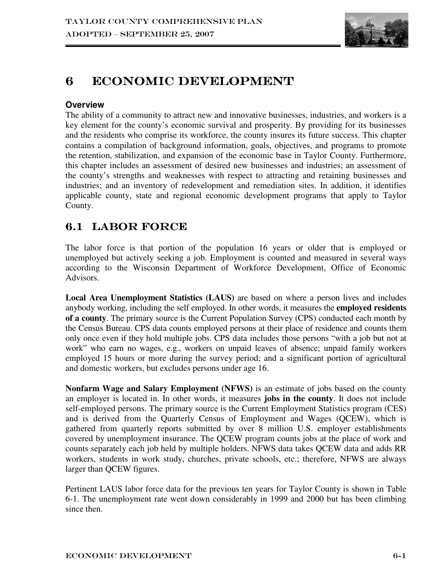

# 6 ECONOMIC DEVELOPMENT

## **Overview**

The ability of a community to attract new and innovative businesses, industries, and workers is a key element for the county's economic survival and prosperity. By providing for its businesses and the residents who comprise its workforce, the county insures its future success. This chapter contains a compilation of background information, goals, objectives, and programs to promote the retention, stabilization, and expansion of the economic base in Taylor County. Furthermore, this chapter includes an assessment of desired new businesses and industries; an assessment of the county's strengths and weaknesses with respect to attracting and retaining businesses and industries; and an inventory of redevelopment and remediation sites. In addition, it identifies applicable county, state and regional economic development programs that apply to Taylor County.

## 6.1 LABOR FORCE

The labor force is that portion of the population 16 years or older that is employed or unemployed but actively seeking a job. Employment is counted and measured in several ways according to the Wisconsin Department of Workforce Development, Office of Economic Advisors.

**Local Area Unemployment Statistics (LAUS)** are based on where a person lives and includes anybody working, including the self employed. In other words, it measures the **employed residents of a county**. The primary source is the Current Population Survey (CPS) conducted each month by the Census Bureau. CPS data counts employed persons at their place of residence and counts them only once even if they hold multiple jobs. CPS data includes those persons "with a job but not at work" who earn no wages, e.g., workers on unpaid leaves of absence; unpaid family workers employed 15 hours or more during the survey period; and a significant portion of agricultural and domestic workers, but excludes persons under age 16.

**Nonfarm Wage and Salary Employment (NFWS)** is an estimate of jobs based on the county an employer is located in. In other words, it measures **jobs in the county**. It does not include self-employed persons. The primary source is the Current Employment Statistics program (CES) and is derived from the Quarterly Census of Employment and Wages (QCEW), which is gathered from quarterly reports submitted by over 8 million U.S. employer establishments covered by unemployment insurance. The QCEW program counts jobs at the place of work and counts separately each job held by multiple holders. NFWS data takes QCEW data and adds RR workers, students in work study, churches, private schools, etc.; therefore, NFWS are always larger than QCEW figures.

Pertinent LAUS labor force data for the previous ten years for Taylor County is shown in Table 6-1. The unemployment rate went down considerably in 1999 and 2000 but has been climbing since then.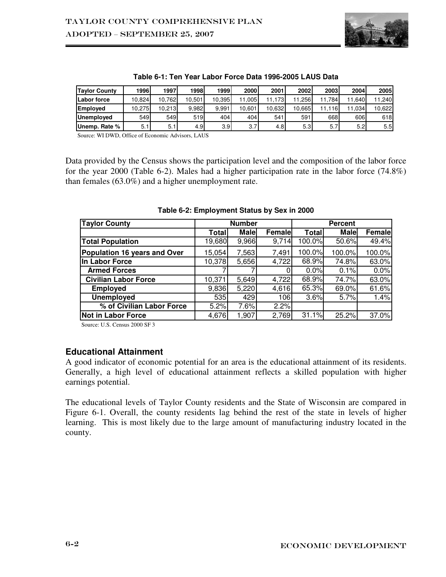

| <b>Taylor County</b> | 1996   | 1997   | 1998   | 1999   | 2000   | 2001   | 2002   | 2003 | 2004 | 2005   |
|----------------------|--------|--------|--------|--------|--------|--------|--------|------|------|--------|
| Labor force          | 10.824 | 10.762 | 10.501 | 10.395 | .005   | 11.173 | .256   | 784  | .640 | 11.240 |
| <b>Emploved</b>      | 10.275 | 10.213 | 9.982  | 9.991  | 10.601 | 10.632 | 10.665 | .116 | .034 | 10.622 |
| <b>Unemployed</b>    | 549    | 549    | 519    | 404    | 404    | 541    | 591    | 668  | 606  | 618    |
| Unemp. Rate %        | 5.1    | 5.1    | 4.9    | 3.9    | 3.7    | 4.8    | 5.3    | 5.7  | 5.2  | 5.5    |

**Table 6-1: Ten Year Labor Force Data 1996-2005 LAUS Data** 

Source: WI DWD, Office of Economic Advisors, LAUS

Data provided by the Census shows the participation level and the composition of the labor force for the year 2000 (Table 6-2). Males had a higher participation rate in the labor force (74.8%) than females (63.0%) and a higher unemployment rate.

| <b>Taylor County</b>         | <b>Number</b> |             | <b>Percent</b> |        |             |        |
|------------------------------|---------------|-------------|----------------|--------|-------------|--------|
|                              | Total         | <b>Male</b> | <b>Femalel</b> | Total  | <b>Male</b> | Female |
| <b>Total Population</b>      | 19,680        | 9,966       | 9,714          | 100.0% | 50.6%       | 49.4%  |
| Population 16 years and Over | 15,054        | 7,563       | 7,491          | 100.0% | 100.0%      | 100.0% |
| <b>In Labor Force</b>        | 10,378        | 5,656       | 4,722          | 68.9%  | 74.8%       | 63.0%  |
| <b>Armed Forces</b>          |               |             | $\Omega$       | 0.0%   | 0.1%        | 0.0%   |
| <b>Civilian Labor Force</b>  | 10,371        | 5,649       | 4,722          | 68.9%  | 74.7%       | 63.0%  |
| <b>Employed</b>              | 9,836         | 5,220       | 4,616          | 65.3%  | 69.0%       | 61.6%  |
| <b>Unemployed</b>            | 535           | 429         | 106            | 3.6%   | 5.7%        | 1.4%   |
| % of Civilian Labor Force    | 5.2%          | 7.6%        | 2.2%           |        |             |        |
| <b>Not in Labor Force</b>    | 4,676         | 1,907       | 2,769          | 31.1%  | 25.2%       | 37.0%  |

**Table 6-2: Employment Status by Sex in 2000** 

Source: U.S. Census 2000 SF 3

#### **Educational Attainment**

A good indicator of economic potential for an area is the educational attainment of its residents. Generally, a high level of educational attainment reflects a skilled population with higher earnings potential.

The educational levels of Taylor County residents and the State of Wisconsin are compared in Figure 6-1. Overall, the county residents lag behind the rest of the state in levels of higher learning. This is most likely due to the large amount of manufacturing industry located in the county.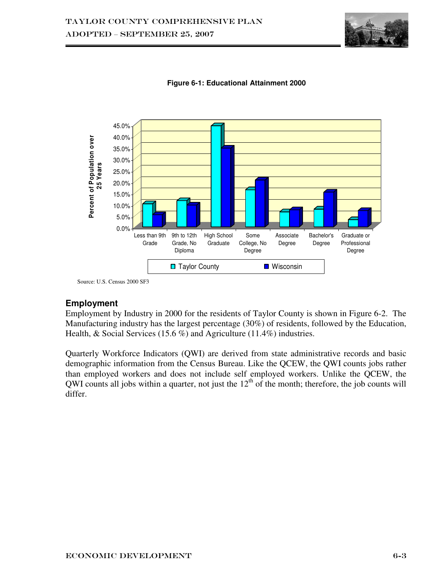



**Figure 6-1: Educational Attainment 2000** 

Source: U.S. Census 2000 SF3

## **Employment**

Employment by Industry in 2000 for the residents of Taylor County is shown in Figure 6-2. The Manufacturing industry has the largest percentage (30%) of residents, followed by the Education, Health, & Social Services (15.6 %) and Agriculture (11.4%) industries.

Quarterly Workforce Indicators (QWI) are derived from state administrative records and basic demographic information from the Census Bureau. Like the QCEW, the QWI counts jobs rather than employed workers and does not include self employed workers. Unlike the QCEW, the QWI counts all jobs within a quarter, not just the  $12<sup>th</sup>$  of the month; therefore, the job counts will differ.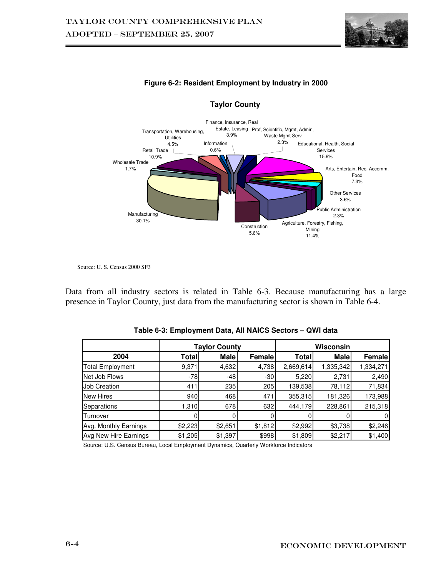



#### **Figure 6-2: Resident Employment by Industry in 2000**

Source: U. S. Census 2000 SF3

Data from all industry sectors is related in Table 6-3. Because manufacturing has a large presence in Taylor County, just data from the manufacturing sector is shown in Table 6-4.

|                         | <b>Taylor County</b> |             |         | Wisconsin |             |           |
|-------------------------|----------------------|-------------|---------|-----------|-------------|-----------|
| 2004                    | Totall               | <b>Male</b> | Female  | Total     | <b>Male</b> | Female    |
| <b>Total Employment</b> | 9,371                | 4,632       | 4,738   | 2,669,614 | 1,335,342   | 1,334,271 |
| Net Job Flows           | $-78$                | $-48$       | $-30$   | 5,220     | 2,731       | 2,490     |
| <b>Job Creation</b>     | 411                  | 235         | 205     | 139,538   | 78,112      | 71,834    |
| <b>New Hires</b>        | 940                  | 468         | 471     | 355,315   | 181,326     | 173,988   |
| Separations             | 1,310                | 678         | 632     | 444,179   | 228,861     | 215,318   |
| Turnover                |                      |             |         |           |             |           |
| Avg. Monthly Earnings   | \$2,223              | \$2,651     | \$1,812 | \$2,992   | \$3,738     | \$2,246   |
| Avg New Hire Earnings   | \$1,205              | \$1,397     | \$998   | \$1,809   | \$2,217     | \$1,400   |

| Table 6-3: Employment Data, All NAICS Sectors - QWI data |  |  |
|----------------------------------------------------------|--|--|
|----------------------------------------------------------|--|--|

Source: U.S. Census Bureau, Local Employment Dynamics, Quarterly Workforce Indicators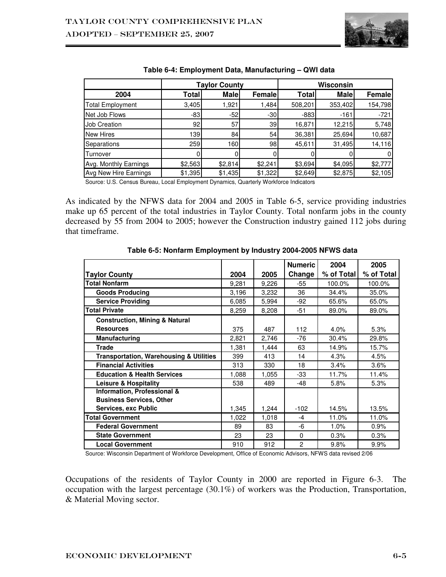

|                         | Taylor County   |             |         | Wisconsin |             |          |  |
|-------------------------|-----------------|-------------|---------|-----------|-------------|----------|--|
| 2004                    | Totall          | <b>Male</b> | Female  | Total     | <b>Male</b> | Female   |  |
| <b>Total Employment</b> | 3,405           | 1,921       | 1,484   | 508,201   | 353,402     | 154,798  |  |
| Net Job Flows           | $-83$           | $-52$       | $-30$   | $-883$    | $-161$      | $-721$   |  |
| <b>Job Creation</b>     | 92 <sub>1</sub> | 57          | 39      | 16,871    | 12,215      | 5,748    |  |
| New Hires               | 139             | 84          | 54      | 36,381    | 25,694      | 10,687   |  |
| Separations             | 259             | 160         | 98      | 45,611    | 31,495      | 14,116   |  |
| Turnover                |                 |             |         |           |             | $\Omega$ |  |
| Avg. Monthly Earnings   | \$2,563         | \$2,814     | \$2,241 | \$3,694   | \$4,095     | \$2,777  |  |
| Avg New Hire Earnings   | \$1,395         | \$1,435     | \$1,322 | \$2,649   | \$2,875     | \$2,105  |  |

#### **Table 6-4: Employment Data, Manufacturing – QWI data**

Source: U.S. Census Bureau, Local Employment Dynamics, Quarterly Workforce Indicators

As indicated by the NFWS data for 2004 and 2005 in Table 6-5, service providing industries make up 65 percent of the total industries in Taylor County. Total nonfarm jobs in the county decreased by 55 from 2004 to 2005; however the Construction industry gained 112 jobs during that timeframe.

|                                                    |       |       | <b>Numeric</b> | 2004       | 2005       |
|----------------------------------------------------|-------|-------|----------------|------------|------------|
| <b>Taylor County</b>                               | 2004  | 2005  | Change         | % of Total | % of Total |
| <b>Total Nonfarm</b>                               | 9,281 | 9,226 | -55            | 100.0%     | 100.0%     |
| <b>Goods Producing</b>                             | 3,196 | 3,232 | 36             | 34.4%      | 35.0%      |
| <b>Service Providing</b>                           | 6,085 | 5,994 | $-92$          | 65.6%      | 65.0%      |
| <b>Total Private</b>                               | 8,259 | 8,208 | -51            | 89.0%      | 89.0%      |
| <b>Construction, Mining &amp; Natural</b>          |       |       |                |            |            |
| <b>Resources</b>                                   | 375   | 487   | 112            | 4.0%       | 5.3%       |
| Manufacturing                                      | 2,821 | 2,746 | -76            | 30.4%      | 29.8%      |
| <b>Trade</b>                                       | 1,381 | 1,444 | 63             | 14.9%      | 15.7%      |
| <b>Transportation, Warehousing &amp; Utilities</b> | 399   | 413   | 14             | 4.3%       | 4.5%       |
| <b>Financial Activities</b>                        | 313   | 330   | 18             | 3.4%       | 3.6%       |
| <b>Education &amp; Health Services</b>             | 1,088 | 1,055 | $-33$          | 11.7%      | 11.4%      |
| <b>Leisure &amp; Hospitality</b>                   | 538   | 489   | $-48$          | 5.8%       | 5.3%       |
| <b>Information, Professional &amp;</b>             |       |       |                |            |            |
| <b>Business Services, Other</b>                    |       |       |                |            |            |
| Services, exc Public                               | 1,345 | 1,244 | $-102$         | 14.5%      | 13.5%      |
| <b>Total Government</b>                            | 1,022 | 1,018 | $-4$           | 11.0%      | 11.0%      |
| <b>Federal Government</b>                          | 89    | 83    | -6             | 1.0%       | 0.9%       |
| <b>State Government</b>                            | 23    | 23    | $\Omega$       | 0.3%       | 0.3%       |
| <b>Local Government</b>                            | 910   | 912   | $\overline{c}$ | 9.8%       | 9.9%       |

**Table 6-5: Nonfarm Employment by Industry 2004-2005 NFWS data** 

Source: Wisconsin Department of Workforce Development, Office of Economic Advisors, NFWS data revised 2/06

Occupations of the residents of Taylor County in 2000 are reported in Figure 6-3. The occupation with the largest percentage (30.1%) of workers was the Production, Transportation, & Material Moving sector.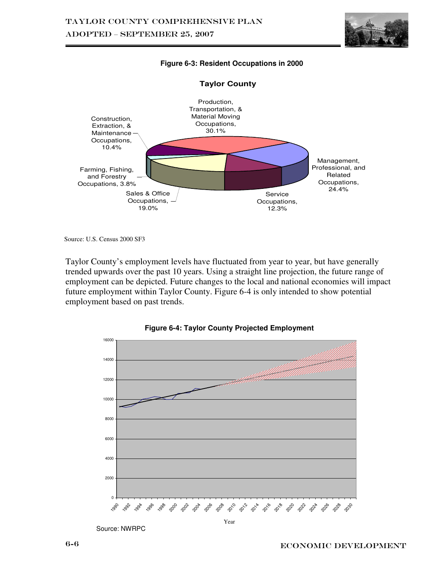

#### **Figure 6-3: Resident Occupations in 2000**



#### **Taylor County**

Source: U.S. Census 2000 SF3

Taylor County's employment levels have fluctuated from year to year, but have generally trended upwards over the past 10 years. Using a straight line projection, the future range of employment can be depicted. Future changes to the local and national economies will impact future employment within Taylor County. Figure 6-4 is only intended to show potential employment based on past trends.





Source: NWRPC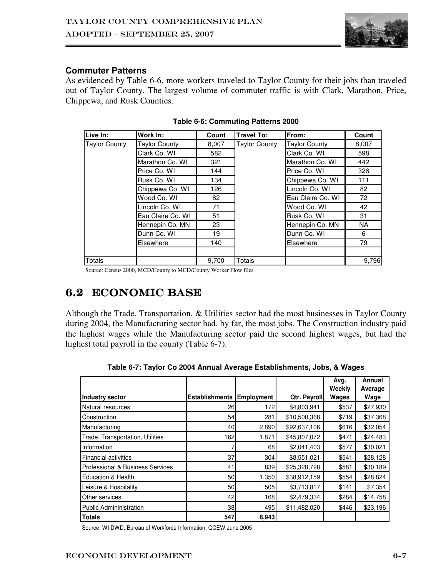

## **Commuter Patterns**

As evidenced by Table 6-6, more workers traveled to Taylor County for their jobs than traveled out of Taylor County. The largest volume of commuter traffic is with Clark, Marathon, Price, Chippewa, and Rusk Counties.

| Live In:             | Work In:             | Count | <b>Travel To:</b>    | From:                | Count |
|----------------------|----------------------|-------|----------------------|----------------------|-------|
| <b>Taylor County</b> | <b>Taylor County</b> | 8,007 | <b>Taylor County</b> | <b>Taylor County</b> | 8,007 |
|                      | Clark Co. WI         | 582   |                      | Clark Co. WI         | 598   |
|                      | Marathon Co. WI      | 321   |                      | Marathon Co. WI      | 442   |
|                      | Price Co. WI         | 144   |                      | Price Co. WI         | 326   |
|                      | Rusk Co. WI          | 134   |                      | Chippewa Co. WI      | 111   |
|                      | Chippewa Co. WI      | 126   |                      | Lincoln Co. WI       | 82    |
|                      | Wood Co. WI          | 82    |                      | Eau Claire Co. WI    | 72    |
|                      | Lincoln Co. WI       | 71    |                      | Wood Co. WI          | 42    |
|                      | Eau Claire Co. WI    | 51    |                      | Rusk Co. WI          | 31    |
|                      | Hennepin Co. MN      | 23    |                      | Hennepin Co. MN      | NA    |
|                      | Dunn Co. WI          | 19    |                      | Dunn Co. WI          | 6     |
|                      | Elsewhere            | 140   |                      | Elsewhere            | 79    |
|                      |                      |       |                      |                      |       |
| Totals               |                      | 9.700 | Totals               |                      | 9.796 |

**Table 6-6: Commuting Patterns 2000** 

Source: Census 2000, MCD/County to MCD/County Worker Flow files

## 6.2 ECONOMIC BASE

Although the Trade, Transportation, & Utilities sector had the most businesses in Taylor County during 2004, the Manufacturing sector had, by far, the most jobs. The Construction industry paid the highest wages while the Manufacturing sector paid the second highest wages, but had the highest total payroll in the county (Table 6-7).

|                                  |                       |                   |              | Avg.<br>Weekly | Annual<br>Average |
|----------------------------------|-----------------------|-------------------|--------------|----------------|-------------------|
| Industry sector                  | <b>Establishments</b> | <b>Employment</b> | Qtr. Payroll | Wages          | Wage              |
| Natural resources                | 26                    | 172               | \$4,803,941  | \$537          | \$27,930          |
| Construction                     | 54                    | 281               | \$10,500,368 | \$719          | \$37,368          |
| Manufacturing                    | 40                    | 2,890             | \$92,637,106 | \$616          | \$32,054          |
| Trade, Transportation, Utilities | 162                   | 1,871             | \$45,807,072 | \$471          | \$24,483          |
| Information                      |                       | 68                | \$2,041,403  | \$577          | \$30,021          |
| Financial activities             | 37                    | 304               | \$8,551,021  | \$541          | \$28,128          |
| Professional & Business Services | 41                    | 839               | \$25,328,798 | \$581          | \$30,189          |
| Education & Health               | 50                    | 1,350             | \$38,912,159 | \$554          | \$28,824          |
| Leisure & Hospitality            | 50                    | 505               | \$3,713,817  | \$141          | \$7,354           |
| <b>Other services</b>            | 42                    | 168               | \$2,479,334  | \$284          | \$14,758          |
| Public Admininistration          | 38                    | 495               | \$11,482,020 | \$446          | \$23,196          |
| Totals                           | 547                   | 8,943             |              |                |                   |

**Table 6-7: Taylor Co 2004 Annual Average Establishments, Jobs, & Wages** 

Source: WI DWD, Bureau of Workforce Information, QCEW June 2005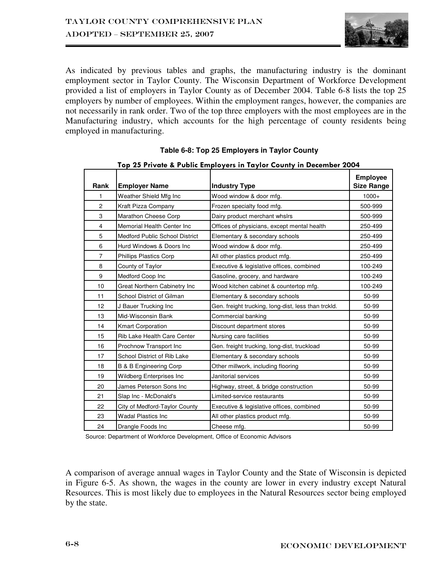

As indicated by previous tables and graphs, the manufacturing industry is the dominant employment sector in Taylor County. The Wisconsin Department of Workforce Development provided a list of employers in Taylor County as of December 2004. Table 6-8 lists the top 25 employers by number of employees. Within the employment ranges, however, the companies are not necessarily in rank order. Two of the top three employers with the most employees are in the Manufacturing industry, which accounts for the high percentage of county residents being employed in manufacturing.

|                | Top 25 Private & Public Employers in Taylor County in December 2004 |                                                     |                                      |  |  |  |  |  |
|----------------|---------------------------------------------------------------------|-----------------------------------------------------|--------------------------------------|--|--|--|--|--|
| Rank           | <b>Employer Name</b>                                                | <b>Industry Type</b>                                | <b>Employee</b><br><b>Size Range</b> |  |  |  |  |  |
| 1              | Weather Shield Mfg Inc                                              | Wood window & door mfg.                             | $1000+$                              |  |  |  |  |  |
| $\overline{c}$ | Kraft Pizza Company                                                 | Frozen specialty food mfg.                          | 500-999                              |  |  |  |  |  |
| 3              | Marathon Cheese Corp                                                | Dairy product merchant whslrs                       | 500-999                              |  |  |  |  |  |
| 4              | Memorial Health Center Inc                                          | Offices of physicians, except mental health         | 250-499                              |  |  |  |  |  |
| 5              | <b>Medford Public School District</b>                               | Elementary & secondary schools                      | 250-499                              |  |  |  |  |  |
| 6              | Hurd Windows & Doors Inc.                                           | Wood window & door mfg.                             | 250-499                              |  |  |  |  |  |
| $\overline{7}$ | <b>Phillips Plastics Corp</b>                                       | All other plastics product mfg.                     | 250-499                              |  |  |  |  |  |
| 8              | County of Taylor                                                    | Executive & legislative offices, combined           | 100-249                              |  |  |  |  |  |
| 9              | Medford Coop Inc                                                    | Gasoline, grocery, and hardware                     | 100-249                              |  |  |  |  |  |
| 10             | Great Northern Cabinetry Inc                                        | Wood kitchen cabinet & countertop mfg.              | 100-249                              |  |  |  |  |  |
| 11             | School District of Gilman                                           | Elementary & secondary schools                      | 50-99                                |  |  |  |  |  |
| 12             | J Bauer Trucking Inc                                                | Gen. freight trucking, long-dist, less than trckld. | 50-99                                |  |  |  |  |  |
| 13             | Mid-Wisconsin Bank                                                  | Commercial banking                                  | 50-99                                |  |  |  |  |  |
| 14             | <b>Kmart Corporation</b>                                            | Discount department stores                          | 50-99                                |  |  |  |  |  |
| 15             | Rib Lake Health Care Center                                         | Nursing care facilities                             | 50-99                                |  |  |  |  |  |
| 16             | Prochnow Transport Inc                                              | Gen. freight trucking, long-dist, truckload         | 50-99                                |  |  |  |  |  |
| 17             | School District of Rib Lake                                         | Elementary & secondary schools                      | 50-99                                |  |  |  |  |  |
| 18             | <b>B &amp; B Engineering Corp</b>                                   | Other millwork, including flooring                  | 50-99                                |  |  |  |  |  |
| 19             | Wildberg Enterprises Inc                                            | Janitorial services                                 | 50-99                                |  |  |  |  |  |
| 20             | James Peterson Sons Inc                                             | Highway, street, & bridge construction              | 50-99                                |  |  |  |  |  |
| 21             | Slap Inc - McDonald's                                               | Limited-service restaurants                         | 50-99                                |  |  |  |  |  |
| 22             | City of Medford-Taylor County                                       | Executive & legislative offices, combined           | 50-99                                |  |  |  |  |  |
| 23             | <b>Wadal Plastics Inc.</b>                                          | All other plastics product mfg.                     | 50-99                                |  |  |  |  |  |
| 24             | Drangle Foods Inc                                                   | Cheese mfg.                                         | 50-99                                |  |  |  |  |  |

#### **Table 6-8: Top 25 Employers in Taylor County**

Source: Department of Workforce Development, Office of Economic Advisors

A comparison of average annual wages in Taylor County and the State of Wisconsin is depicted in Figure 6-5. As shown, the wages in the county are lower in every industry except Natural Resources. This is most likely due to employees in the Natural Resources sector being employed by the state.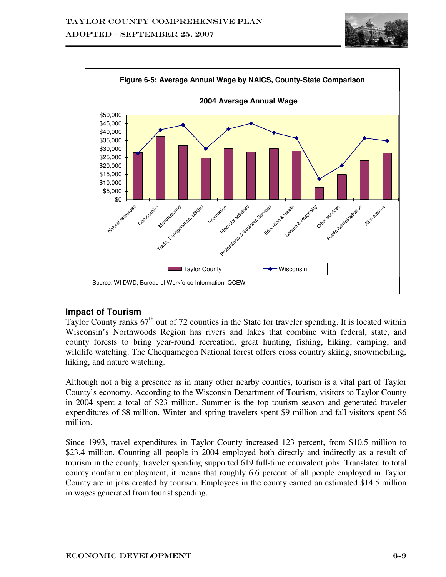



## **Impact of Tourism**

Taylor County ranks 67<sup>th</sup> out of 72 counties in the State for traveler spending. It is located within Wisconsin's Northwoods Region has rivers and lakes that combine with federal, state, and county forests to bring year-round recreation, great hunting, fishing, hiking, camping, and wildlife watching. The Chequamegon National forest offers cross country skiing, snowmobiling, hiking, and nature watching.

Although not a big a presence as in many other nearby counties, tourism is a vital part of Taylor County's economy. According to the Wisconsin Department of Tourism, visitors to Taylor County in 2004 spent a total of \$23 million. Summer is the top tourism season and generated traveler expenditures of \$8 million. Winter and spring travelers spent \$9 million and fall visitors spent \$6 million.

Since 1993, travel expenditures in Taylor County increased 123 percent, from \$10.5 million to \$23.4 million. Counting all people in 2004 employed both directly and indirectly as a result of tourism in the county, traveler spending supported 619 full-time equivalent jobs. Translated to total county nonfarm employment, it means that roughly 6.6 percent of all people employed in Taylor County are in jobs created by tourism. Employees in the county earned an estimated \$14.5 million in wages generated from tourist spending.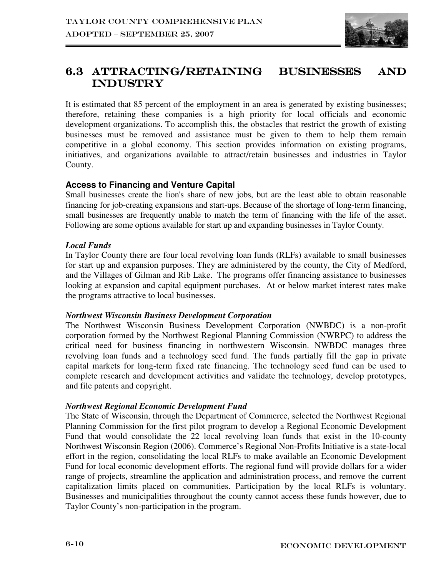

## 6.3 ATTRACTING/RETAINING BUSINESSES AND Industry

It is estimated that 85 percent of the employment in an area is generated by existing businesses; therefore, retaining these companies is a high priority for local officials and economic development organizations. To accomplish this, the obstacles that restrict the growth of existing businesses must be removed and assistance must be given to them to help them remain competitive in a global economy. This section provides information on existing programs, initiatives, and organizations available to attract/retain businesses and industries in Taylor County.

## **Access to Financing and Venture Capital**

Small businesses create the lion's share of new jobs, but are the least able to obtain reasonable financing for job-creating expansions and start-ups. Because of the shortage of long-term financing, small businesses are frequently unable to match the term of financing with the life of the asset. Following are some options available for start up and expanding businesses in Taylor County.

## *Local Funds*

In Taylor County there are four local revolving loan funds (RLFs) available to small businesses for start up and expansion purposes. They are administered by the county, the City of Medford, and the Villages of Gilman and Rib Lake. The programs offer financing assistance to businesses looking at expansion and capital equipment purchases. At or below market interest rates make the programs attractive to local businesses.

#### *Northwest Wisconsin Business Development Corporation*

The Northwest Wisconsin Business Development Corporation (NWBDC) is a non-profit corporation formed by the Northwest Regional Planning Commission (NWRPC) to address the critical need for business financing in northwestern Wisconsin. NWBDC manages three revolving loan funds and a technology seed fund. The funds partially fill the gap in private capital markets for long-term fixed rate financing. The technology seed fund can be used to complete research and development activities and validate the technology, develop prototypes, and file patents and copyright.

## *Northwest Regional Economic Development Fund*

The State of Wisconsin, through the Department of Commerce, selected the Northwest Regional Planning Commission for the first pilot program to develop a Regional Economic Development Fund that would consolidate the 22 local revolving loan funds that exist in the 10-county Northwest Wisconsin Region (2006). Commerce's Regional Non-Profits Initiative is a state-local effort in the region, consolidating the local RLFs to make available an Economic Development Fund for local economic development efforts. The regional fund will provide dollars for a wider range of projects, streamline the application and administration process, and remove the current capitalization limits placed on communities. Participation by the local RLFs is voluntary. Businesses and municipalities throughout the county cannot access these funds however, due to Taylor County's non-participation in the program.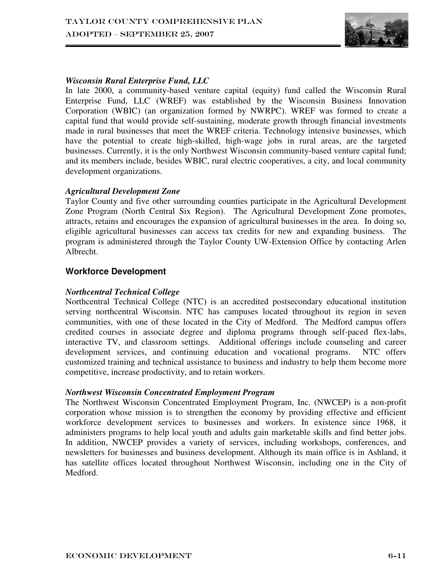

## *Wisconsin Rural Enterprise Fund, LLC*

In late 2000, a community-based venture capital (equity) fund called the Wisconsin Rural Enterprise Fund, LLC (WREF) was established by the Wisconsin Business Innovation Corporation (WBIC) (an organization formed by NWRPC). WREF was formed to create a capital fund that would provide self-sustaining, moderate growth through financial investments made in rural businesses that meet the WREF criteria. Technology intensive businesses, which have the potential to create high-skilled, high-wage jobs in rural areas, are the targeted businesses. Currently, it is the only Northwest Wisconsin community-based venture capital fund; and its members include, besides WBIC, rural electric cooperatives, a city, and local community development organizations.

### *Agricultural Development Zone*

Taylor County and five other surrounding counties participate in the Agricultural Development Zone Program (North Central Six Region). The Agricultural Development Zone promotes, attracts, retains and encourages the expansion of agricultural businesses in the area. In doing so, eligible agricultural businesses can access tax credits for new and expanding business. The program is administered through the Taylor County UW-Extension Office by contacting Arlen Albrecht.

## **Workforce Development**

#### *Northcentral Technical College*

Northcentral Technical College (NTC) is an accredited postsecondary educational institution serving northcentral Wisconsin. NTC has campuses located throughout its region in seven communities, with one of these located in the City of Medford. The Medford campus offers credited courses in associate degree and diploma programs through self-paced flex-labs, interactive TV, and classroom settings. Additional offerings include counseling and career development services, and continuing education and vocational programs. NTC offers customized training and technical assistance to business and industry to help them become more competitive, increase productivity, and to retain workers.

#### *Northwest Wisconsin Concentrated Employment Program*

The Northwest Wisconsin Concentrated Employment Program, Inc. (NWCEP) is a non-profit corporation whose mission is to strengthen the economy by providing effective and efficient workforce development services to businesses and workers. In existence since 1968, it administers programs to help local youth and adults gain marketable skills and find better jobs. In addition, NWCEP provides a variety of services, including workshops, conferences, and newsletters for businesses and business development. Although its main office is in Ashland, it has satellite offices located throughout Northwest Wisconsin, including one in the City of Medford.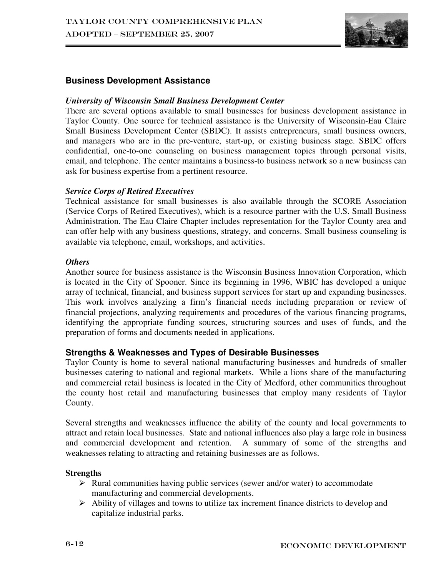

## **Business Development Assistance**

#### *University of Wisconsin Small Business Development Center*

There are several options available to small businesses for business development assistance in Taylor County. One source for technical assistance is the University of Wisconsin-Eau Claire Small Business Development Center (SBDC). It assists entrepreneurs, small business owners, and managers who are in the pre-venture, start-up, or existing business stage. SBDC offers confidential, one-to-one counseling on business management topics through personal visits, email, and telephone. The center maintains a business-to business network so a new business can ask for business expertise from a pertinent resource.

#### *Service Corps of Retired Executives*

Technical assistance for small businesses is also available through the SCORE Association (Service Corps of Retired Executives), which is a resource partner with the U.S. Small Business Administration. The Eau Claire Chapter includes representation for the Taylor County area and can offer help with any business questions, strategy, and concerns. Small business counseling is available via telephone, email, workshops, and activities.

#### *Others*

Another source for business assistance is the Wisconsin Business Innovation Corporation, which is located in the City of Spooner. Since its beginning in 1996, WBIC has developed a unique array of technical, financial, and business support services for start up and expanding businesses. This work involves analyzing a firm's financial needs including preparation or review of financial projections, analyzing requirements and procedures of the various financing programs, identifying the appropriate funding sources, structuring sources and uses of funds, and the preparation of forms and documents needed in applications.

## **Strengths & Weaknesses and Types of Desirable Businesses**

Taylor County is home to several national manufacturing businesses and hundreds of smaller businesses catering to national and regional markets. While a lions share of the manufacturing and commercial retail business is located in the City of Medford, other communities throughout the county host retail and manufacturing businesses that employ many residents of Taylor County.

Several strengths and weaknesses influence the ability of the county and local governments to attract and retain local businesses. State and national influences also play a large role in business and commercial development and retention. A summary of some of the strengths and weaknesses relating to attracting and retaining businesses are as follows.

#### **Strengths**

- $\triangleright$  Rural communities having public services (sewer and/or water) to accommodate manufacturing and commercial developments.
- Ability of villages and towns to utilize tax increment finance districts to develop and capitalize industrial parks.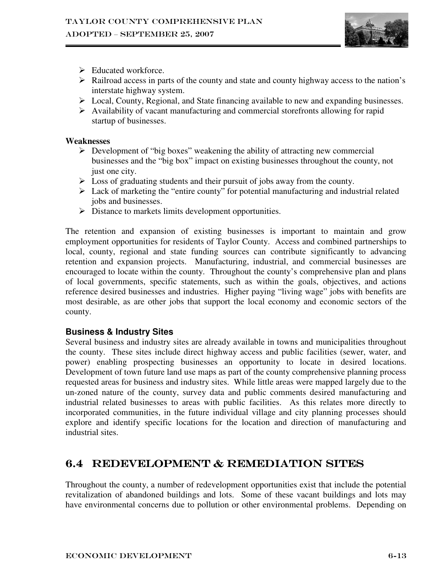

- $\triangleright$  Educated workforce.
- $\triangleright$  Railroad access in parts of the county and state and county highway access to the nation's interstate highway system.
- Local, County, Regional, and State financing available to new and expanding businesses.
- $\triangleright$  Availability of vacant manufacturing and commercial storefronts allowing for rapid startup of businesses.

## **Weaknesses**

- $\triangleright$  Development of "big boxes" weakening the ability of attracting new commercial businesses and the "big box" impact on existing businesses throughout the county, not just one city.
- $\triangleright$  Loss of graduating students and their pursuit of jobs away from the county.
- $\triangleright$  Lack of marketing the "entire county" for potential manufacturing and industrial related jobs and businesses.
- Distance to markets limits development opportunities.

The retention and expansion of existing businesses is important to maintain and grow employment opportunities for residents of Taylor County. Access and combined partnerships to local, county, regional and state funding sources can contribute significantly to advancing retention and expansion projects. Manufacturing, industrial, and commercial businesses are encouraged to locate within the county. Throughout the county's comprehensive plan and plans of local governments, specific statements, such as within the goals, objectives, and actions reference desired businesses and industries. Higher paying "living wage" jobs with benefits are most desirable, as are other jobs that support the local economy and economic sectors of the county.

## **Business & Industry Sites**

Several business and industry sites are already available in towns and municipalities throughout the county. These sites include direct highway access and public facilities (sewer, water, and power) enabling prospecting businesses an opportunity to locate in desired locations. Development of town future land use maps as part of the county comprehensive planning process requested areas for business and industry sites. While little areas were mapped largely due to the un-zoned nature of the county, survey data and public comments desired manufacturing and industrial related businesses to areas with public facilities. As this relates more directly to incorporated communities, in the future individual village and city planning processes should explore and identify specific locations for the location and direction of manufacturing and industrial sites.

## 6.4 REDEVELOPMENT & REMEDIATION SITES

Throughout the county, a number of redevelopment opportunities exist that include the potential revitalization of abandoned buildings and lots. Some of these vacant buildings and lots may have environmental concerns due to pollution or other environmental problems. Depending on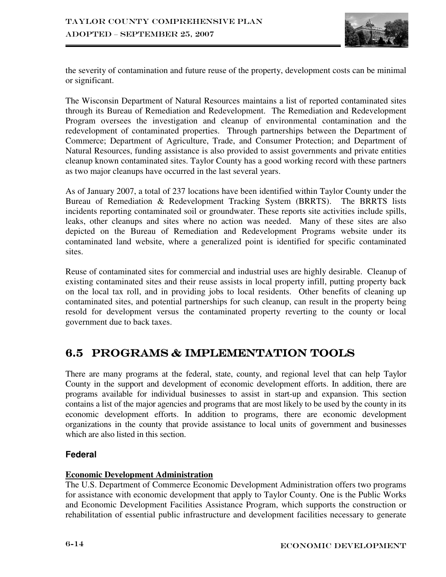

the severity of contamination and future reuse of the property, development costs can be minimal or significant.

The Wisconsin Department of Natural Resources maintains a list of reported contaminated sites through its Bureau of Remediation and Redevelopment. The Remediation and Redevelopment Program oversees the investigation and cleanup of environmental contamination and the redevelopment of contaminated properties. Through partnerships between the Department of Commerce; Department of Agriculture, Trade, and Consumer Protection; and Department of Natural Resources, funding assistance is also provided to assist governments and private entities cleanup known contaminated sites. Taylor County has a good working record with these partners as two major cleanups have occurred in the last several years.

As of January 2007, a total of 237 locations have been identified within Taylor County under the Bureau of Remediation & Redevelopment Tracking System (BRRTS). The BRRTS lists incidents reporting contaminated soil or groundwater. These reports site activities include spills, leaks, other cleanups and sites where no action was needed. Many of these sites are also depicted on the Bureau of Remediation and Redevelopment Programs website under its contaminated land website, where a generalized point is identified for specific contaminated sites.

Reuse of contaminated sites for commercial and industrial uses are highly desirable. Cleanup of existing contaminated sites and their reuse assists in local property infill, putting property back on the local tax roll, and in providing jobs to local residents. Other benefits of cleaning up contaminated sites, and potential partnerships for such cleanup, can result in the property being resold for development versus the contaminated property reverting to the county or local government due to back taxes.

## 6.5 PROGRAMS & IMPLEMENTATION TOOLS

There are many programs at the federal, state, county, and regional level that can help Taylor County in the support and development of economic development efforts. In addition, there are programs available for individual businesses to assist in start-up and expansion. This section contains a list of the major agencies and programs that are most likely to be used by the county in its economic development efforts. In addition to programs, there are economic development organizations in the county that provide assistance to local units of government and businesses which are also listed in this section.

## **Federal**

## **Economic Development Administration**

The U.S. Department of Commerce Economic Development Administration offers two programs for assistance with economic development that apply to Taylor County. One is the Public Works and Economic Development Facilities Assistance Program, which supports the construction or rehabilitation of essential public infrastructure and development facilities necessary to generate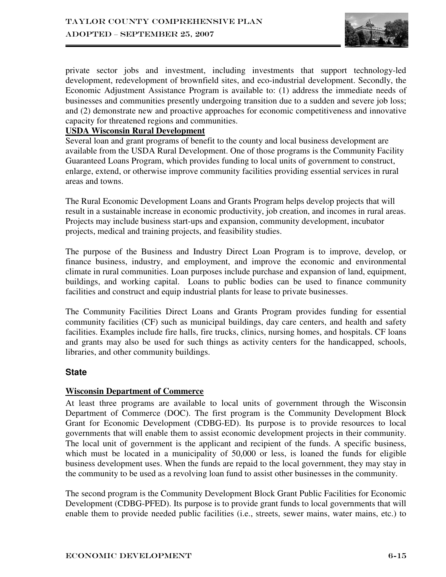

private sector jobs and investment, including investments that support technology-led development, redevelopment of brownfield sites, and eco-industrial development. Secondly, the Economic Adjustment Assistance Program is available to: (1) address the immediate needs of businesses and communities presently undergoing transition due to a sudden and severe job loss; and (2) demonstrate new and proactive approaches for economic competitiveness and innovative capacity for threatened regions and communities.

#### **USDA Wisconsin Rural Development**

Several loan and grant programs of benefit to the county and local business development are available from the USDA Rural Development. One of those programs is the Community Facility Guaranteed Loans Program, which provides funding to local units of government to construct, enlarge, extend, or otherwise improve community facilities providing essential services in rural areas and towns.

The Rural Economic Development Loans and Grants Program helps develop projects that will result in a sustainable increase in economic productivity, job creation, and incomes in rural areas. Projects may include business start-ups and expansion, community development, incubator projects, medical and training projects, and feasibility studies.

The purpose of the Business and Industry Direct Loan Program is to improve, develop, or finance business, industry, and employment, and improve the economic and environmental climate in rural communities. Loan purposes include purchase and expansion of land, equipment, buildings, and working capital. Loans to public bodies can be used to finance community facilities and construct and equip industrial plants for lease to private businesses.

The Community Facilities Direct Loans and Grants Program provides funding for essential community facilities (CF) such as municipal buildings, day care centers, and health and safety facilities. Examples include fire halls, fire trucks, clinics, nursing homes, and hospitals. CF loans and grants may also be used for such things as activity centers for the handicapped, schools, libraries, and other community buildings.

#### **State**

#### **Wisconsin Department of Commerce**

At least three programs are available to local units of government through the Wisconsin Department of Commerce (DOC). The first program is the Community Development Block Grant for Economic Development (CDBG-ED). Its purpose is to provide resources to local governments that will enable them to assist economic development projects in their community. The local unit of government is the applicant and recipient of the funds. A specific business, which must be located in a municipality of 50,000 or less, is loaned the funds for eligible business development uses. When the funds are repaid to the local government, they may stay in the community to be used as a revolving loan fund to assist other businesses in the community.

The second program is the Community Development Block Grant Public Facilities for Economic Development (CDBG-PFED). Its purpose is to provide grant funds to local governments that will enable them to provide needed public facilities (i.e., streets, sewer mains, water mains, etc.) to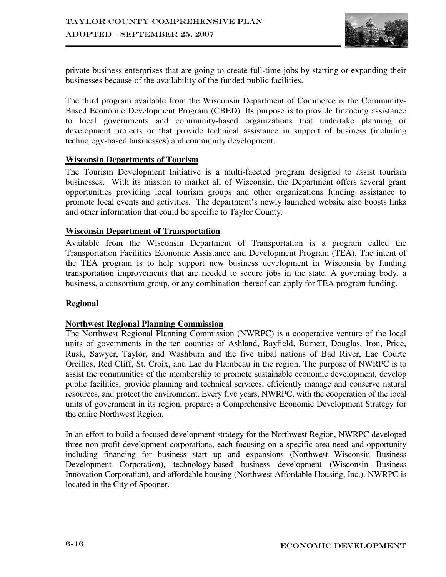

private business enterprises that are going to create full-time jobs by starting or expanding their businesses because of the availability of the funded public facilities.

The third program available from the Wisconsin Department of Commerce is the Community-Based Economic Development Program (CBED). Its purpose is to provide financing assistance to local governments and community-based organizations that undertake planning or development projects or that provide technical assistance in support of business (including technology-based businesses) and community development.

#### **Wisconsin Departments of Tourism**

The Tourism Development Initiative is a multi-faceted program designed to assist tourism businesses. With its mission to market all of Wisconsin, the Department offers several grant opportunities providing local tourism groups and other organizations funding assistance to promote local events and activities. The department's newly launched website also boosts links and other information that could be specific to Taylor County.

#### **Wisconsin Department of Transportation**

Available from the Wisconsin Department of Transportation is a program called the Transportation Facilities Economic Assistance and Development Program (TEA). The intent of the TEA program is to help support new business development in Wisconsin by funding transportation improvements that are needed to secure jobs in the state. A governing body, a business, a consortium group, or any combination thereof can apply for TEA program funding.

#### **Regional**

#### **Northwest Regional Planning Commission**

The Northwest Regional Planning Commission (NWRPC) is a cooperative venture of the local units of governments in the ten counties of Ashland, Bayfield, Burnett, Douglas, Iron, Price, Rusk, Sawyer, Taylor, and Washburn and the five tribal nations of Bad River, Lac Courte Oreilles, Red Cliff, St. Croix, and Lac du Flambeau in the region. The purpose of NWRPC is to assist the communities of the membership to promote sustainable economic development, develop public facilities, provide planning and technical services, efficiently manage and conserve natural resources, and protect the environment. Every five years, NWRPC, with the cooperation of the local units of government in its region, prepares a Comprehensive Economic Development Strategy for the entire Northwest Region.

In an effort to build a focused development strategy for the Northwest Region, NWRPC developed three non-profit development corporations, each focusing on a specific area need and opportunity including financing for business start up and expansions (Northwest Wisconsin Business Development Corporation), technology-based business development (Wisconsin Business Innovation Corporation), and affordable housing (Northwest Affordable Housing, Inc.). NWRPC is located in the City of Spooner.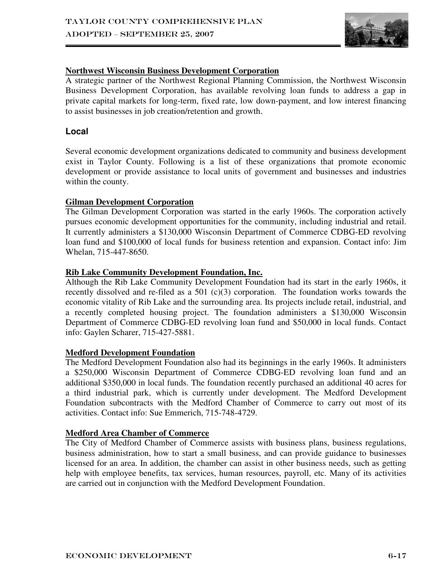

## **Northwest Wisconsin Business Development Corporation**

A strategic partner of the Northwest Regional Planning Commission, the Northwest Wisconsin Business Development Corporation, has available revolving loan funds to address a gap in private capital markets for long-term, fixed rate, low down-payment, and low interest financing to assist businesses in job creation/retention and growth.

## **Local**

Several economic development organizations dedicated to community and business development exist in Taylor County. Following is a list of these organizations that promote economic development or provide assistance to local units of government and businesses and industries within the county.

### **Gilman Development Corporation**

The Gilman Development Corporation was started in the early 1960s. The corporation actively pursues economic development opportunities for the community, including industrial and retail. It currently administers a \$130,000 Wisconsin Department of Commerce CDBG-ED revolving loan fund and \$100,000 of local funds for business retention and expansion. Contact info: Jim Whelan, 715-447-8650.

### **Rib Lake Community Development Foundation, Inc.**

Although the Rib Lake Community Development Foundation had its start in the early 1960s, it recently dissolved and re-filed as a 501 (c)(3) corporation. The foundation works towards the economic vitality of Rib Lake and the surrounding area. Its projects include retail, industrial, and a recently completed housing project. The foundation administers a \$130,000 Wisconsin Department of Commerce CDBG-ED revolving loan fund and \$50,000 in local funds. Contact info: Gaylen Scharer, 715-427-5881.

#### **Medford Development Foundation**

The Medford Development Foundation also had its beginnings in the early 1960s. It administers a \$250,000 Wisconsin Department of Commerce CDBG-ED revolving loan fund and an additional \$350,000 in local funds. The foundation recently purchased an additional 40 acres for a third industrial park, which is currently under development. The Medford Development Foundation subcontracts with the Medford Chamber of Commerce to carry out most of its activities. Contact info: Sue Emmerich, 715-748-4729.

## **Medford Area Chamber of Commerce**

The City of Medford Chamber of Commerce assists with business plans, business regulations, business administration, how to start a small business, and can provide guidance to businesses licensed for an area. In addition, the chamber can assist in other business needs, such as getting help with employee benefits, tax services, human resources, payroll, etc. Many of its activities are carried out in conjunction with the Medford Development Foundation.